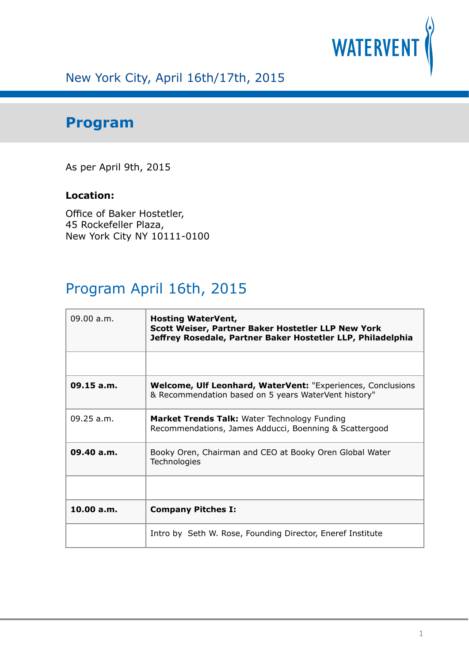

## New York City, April 16th/17th, 2015

## **Program**

As per April 9th, 2015

## **Location:**

Office of Baker Hostetler, 45 Rockefeller Plaza, New York City NY 10111-0100

## Program April 16th, 2015

| 09.00 a.m. | <b>Hosting WaterVent,</b><br>Scott Weiser, Partner Baker Hostetler LLP New York<br>Jeffrey Rosedale, Partner Baker Hostetler LLP, Philadelphia |
|------------|------------------------------------------------------------------------------------------------------------------------------------------------|
|            |                                                                                                                                                |
| 09.15 a.m. | <b>Welcome, Ulf Leonhard, WaterVent: "Experiences, Conclusions"</b><br>& Recommendation based on 5 years WaterVent history"                    |
| 09.25 a.m. | <b>Market Trends Talk:</b> Water Technology Funding<br>Recommendations, James Adducci, Boenning & Scattergood                                  |
| 09.40 a.m. | Booky Oren, Chairman and CEO at Booky Oren Global Water<br>Technologies                                                                        |
|            |                                                                                                                                                |
| 10.00 a.m. | <b>Company Pitches I:</b>                                                                                                                      |
|            | Intro by Seth W. Rose, Founding Director, Eneref Institute                                                                                     |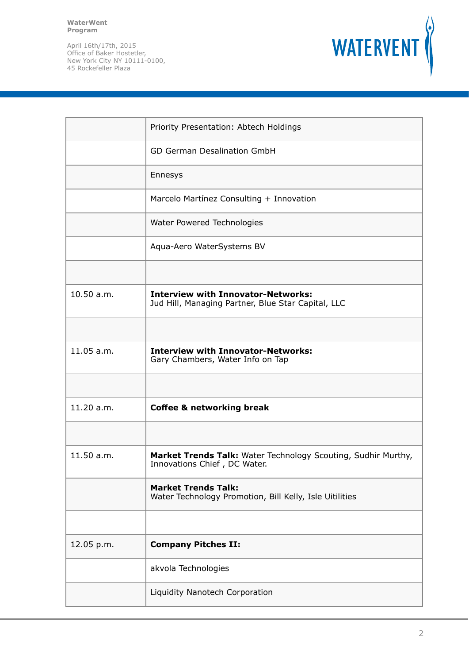**WaterWent Program**



|            | Priority Presentation: Abtech Holdings                                                          |
|------------|-------------------------------------------------------------------------------------------------|
|            | <b>GD German Desalination GmbH</b>                                                              |
|            | Ennesys                                                                                         |
|            | Marcelo Martínez Consulting + Innovation                                                        |
|            | Water Powered Technologies                                                                      |
|            | Aqua-Aero WaterSystems BV                                                                       |
|            |                                                                                                 |
| 10.50 a.m. | <b>Interview with Innovator-Networks:</b><br>Jud Hill, Managing Partner, Blue Star Capital, LLC |
|            |                                                                                                 |
| 11.05 a.m. | <b>Interview with Innovator-Networks:</b><br>Gary Chambers, Water Info on Tap                   |
|            |                                                                                                 |
| 11.20 a.m. | <b>Coffee &amp; networking break</b>                                                            |
|            |                                                                                                 |
| 11.50 a.m. | Market Trends Talk: Water Technology Scouting, Sudhir Murthy,<br>Innovations Chief, DC Water.   |
|            | <b>Market Trends Talk:</b><br>Water Technology Promotion, Bill Kelly, Isle Uitilities           |
|            |                                                                                                 |
| 12.05 p.m. | <b>Company Pitches II:</b>                                                                      |
|            | akvola Technologies                                                                             |
|            | Liquidity Nanotech Corporation                                                                  |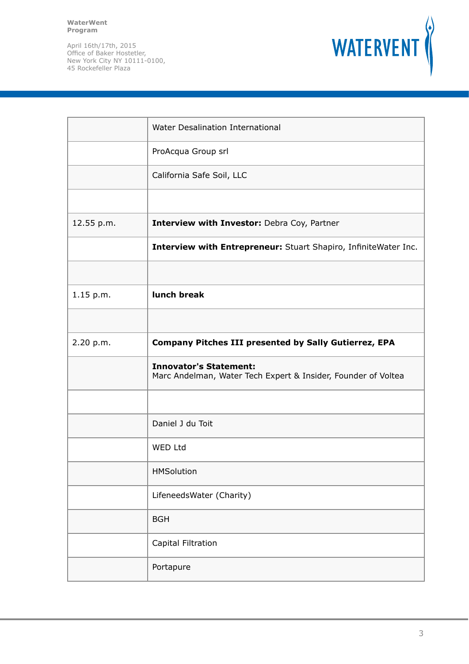**WaterWent Program**



|            | Water Desalination International                                                               |
|------------|------------------------------------------------------------------------------------------------|
|            | ProAcqua Group srl                                                                             |
|            | California Safe Soil, LLC                                                                      |
|            |                                                                                                |
| 12.55 p.m. | Interview with Investor: Debra Coy, Partner                                                    |
|            | Interview with Entrepreneur: Stuart Shapiro, InfiniteWater Inc.                                |
|            |                                                                                                |
| 1.15 p.m.  | lunch break                                                                                    |
|            |                                                                                                |
| 2.20 p.m.  | <b>Company Pitches III presented by Sally Gutierrez, EPA</b>                                   |
|            | <b>Innovator's Statement:</b><br>Marc Andelman, Water Tech Expert & Insider, Founder of Voltea |
|            |                                                                                                |
|            | Daniel J du Toit                                                                               |
|            | WED Ltd                                                                                        |
|            | <b>HMSolution</b>                                                                              |
|            | LifeneedsWater (Charity)                                                                       |
|            | <b>BGH</b>                                                                                     |
|            | Capital Filtration                                                                             |
|            | Portapure                                                                                      |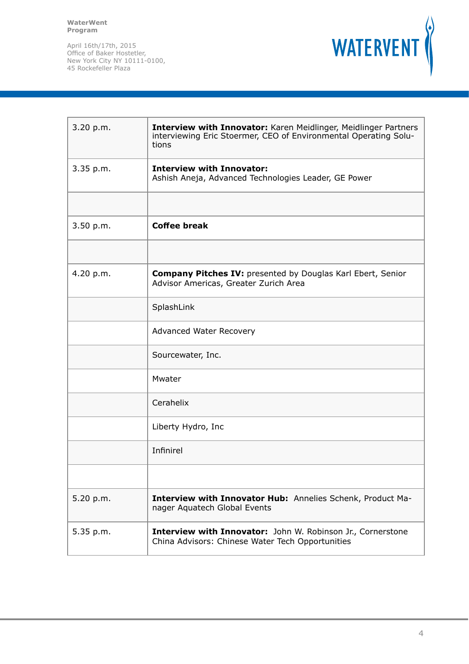

| 3.20 p.m. | Interview with Innovator: Karen Meidlinger, Meidlinger Partners<br>interviewing Eric Stoermer, CEO of Environmental Operating Solu-<br>tions |
|-----------|----------------------------------------------------------------------------------------------------------------------------------------------|
| 3.35 p.m. | <b>Interview with Innovator:</b><br>Ashish Aneja, Advanced Technologies Leader, GE Power                                                     |
|           |                                                                                                                                              |
| 3.50 p.m. | <b>Coffee break</b>                                                                                                                          |
|           |                                                                                                                                              |
| 4.20 p.m. | <b>Company Pitches IV: presented by Douglas Karl Ebert, Senior</b><br>Advisor Americas, Greater Zurich Area                                  |
|           | SplashLink                                                                                                                                   |
|           | Advanced Water Recovery                                                                                                                      |
|           | Sourcewater, Inc.                                                                                                                            |
|           | Mwater                                                                                                                                       |
|           | Cerahelix                                                                                                                                    |
|           | Liberty Hydro, Inc                                                                                                                           |
|           | Infinirel                                                                                                                                    |
|           |                                                                                                                                              |
| 5.20 p.m. | Interview with Innovator Hub: Annelies Schenk, Product Ma-<br>nager Aquatech Global Events                                                   |
| 5.35 p.m. | Interview with Innovator: John W. Robinson Jr., Cornerstone<br>China Advisors: Chinese Water Tech Opportunities                              |